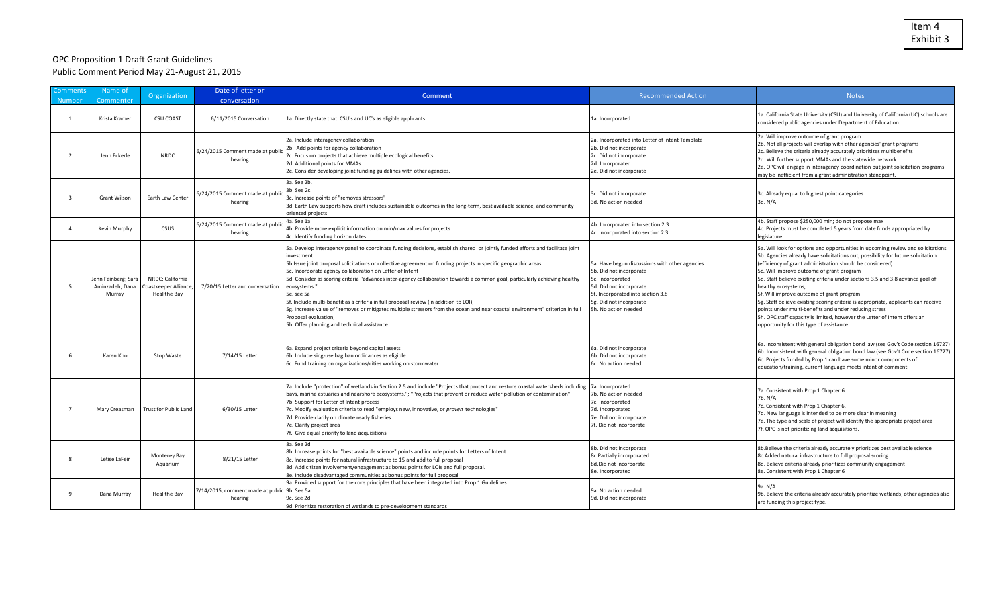## OPC Proposition 1 Draft Grant Guidelines Public Comment Period May 21-August 21, 2015

| Comments<br>Number       | Name of<br>Commenter                             | <b>Organization</b>                                       | Date of letter or<br>conversation                       | Comment                                                                                                                                                                                                                                                                                                                                                                                                                                                                                                                                                                                                                                                                                                                                                                                 | <b>Recommended Action</b>                                                                                                                                                                                        | <b>Notes</b>                                                                                                                                                                                                                                                                                                                                                                                                                                                                                                                                                                                                                                                                                                |
|--------------------------|--------------------------------------------------|-----------------------------------------------------------|---------------------------------------------------------|-----------------------------------------------------------------------------------------------------------------------------------------------------------------------------------------------------------------------------------------------------------------------------------------------------------------------------------------------------------------------------------------------------------------------------------------------------------------------------------------------------------------------------------------------------------------------------------------------------------------------------------------------------------------------------------------------------------------------------------------------------------------------------------------|------------------------------------------------------------------------------------------------------------------------------------------------------------------------------------------------------------------|-------------------------------------------------------------------------------------------------------------------------------------------------------------------------------------------------------------------------------------------------------------------------------------------------------------------------------------------------------------------------------------------------------------------------------------------------------------------------------------------------------------------------------------------------------------------------------------------------------------------------------------------------------------------------------------------------------------|
| $\overline{1}$           | Krista Kramer                                    | <b>CSU COAST</b>                                          | 6/11/2015 Conversation                                  | 1a. Directly state that CSU's and UC's as eligible applicants                                                                                                                                                                                                                                                                                                                                                                                                                                                                                                                                                                                                                                                                                                                           | 1a. Incorporated                                                                                                                                                                                                 | 1a. California State University (CSU) and University of California (UC) schools are<br>considered public agencies under Department of Education.                                                                                                                                                                                                                                                                                                                                                                                                                                                                                                                                                            |
| $\overline{\phantom{a}}$ | Jenn Eckerle                                     | <b>NRDC</b>                                               | 6/24/2015 Comment made at publi<br>hearing              | 2a. Include interagency collaboration<br>2b. Add points for agency collaboration<br>2c. Focus on projects that achieve multiple ecological benefits<br>2d. Additional points for MMAs<br>2e. Consider developing joint funding guidelines with other agencies.                                                                                                                                                                                                                                                                                                                                                                                                                                                                                                                          | 2a. Incorporated into Letter of Intent Template<br>2b. Did not incorporate<br>2c. Did not incorporate<br>2d. Incorporated<br>2e. Did not incorporate                                                             | 2a. Will improve outcome of grant program<br>2b. Not all projects will overlap with other agencies' grant programs<br>2c. Believe the criteria already accurately prioritizes multibenefits<br>2d. Will further support MMAs and the statewide network<br>2e. OPC will engage in interagency coordination but joint solicitation programs<br>may be inefficient from a grant administration standpoint.                                                                                                                                                                                                                                                                                                     |
| ્ર                       | <b>Grant Wilson</b>                              | Earth Law Center                                          | 6/24/2015 Comment made at publi<br>hearing              | 3a. See 2b.<br>3b. See 2c.<br>3c. Increase points of "removes stressors"<br>3d. Earth Law supports how draft includes sustainable outcomes in the long-term, best available science, and community<br>oriented projects                                                                                                                                                                                                                                                                                                                                                                                                                                                                                                                                                                 | 3c. Did not incorporate<br>3d. No action needed                                                                                                                                                                  | 3c. Already equal to highest point categories<br>3d. N/A                                                                                                                                                                                                                                                                                                                                                                                                                                                                                                                                                                                                                                                    |
| $\Delta$                 | Kevin Murphy                                     | <b>CSUS</b>                                               | 6/24/2015 Comment made at publi<br>hearing              | 4a. See 1a<br>4b. Provide more explicit information on min/max values for projects<br>4c. Identify funding horizon dates                                                                                                                                                                                                                                                                                                                                                                                                                                                                                                                                                                                                                                                                | 4b. Incorporated into section 2.3<br>4c. Incorporated into section 2.3                                                                                                                                           | 4b. Staff propose \$250,000 min; do not propose max<br>4c. Projects must be completed 5 years from date funds appropriated by<br>legislature                                                                                                                                                                                                                                                                                                                                                                                                                                                                                                                                                                |
| -5                       | Jenn Feinberg; Sara<br>Aminzadeh; Dana<br>Murray | NRDC; California<br>Coastkeeper Alliance;<br>Heal the Bay | 7/20/15 Letter and conversation                         | 5a. Develop interagency panel to coordinate funding decisions, establish shared or jointly funded efforts and facilitate joint<br>nvestment<br>5b.Issue joint proposal solicitations or collective agreement on funding projects in specific geographic areas<br>5c. Incorporate agency collaboration on Letter of Intent<br>5d. Consider as scoring criteria "advances inter-agency collaboration towards a common goal, particularly achieving healthy<br>ecosystems."<br>5e. see 5a<br>5f. Include multi-benefit as a criteria in full proposal review (in addition to LOI);<br>5g. Increase value of "removes or mitigates multiple stressors from the ocean and near coastal environment" criterion in full<br>Proposal evaluation;<br>5h. Offer planning and technical assistance | 5a. Have begun discussions with other agencies<br>5b. Did not incorporate<br>5c. Incorporated<br>5d. Did not incorporate<br>5f. Incorporated into section 3.8<br>5g. Did not incorporate<br>5h. No action needed | 5a. Will look for options and opportunities in upcoming review and solicitations<br>5b. Agencies already have solicitations out; possibility for future solicitation<br>(efficiency of grant administration should be considered)<br>5c. Will improve outcome of grant program<br>5d. Staff believe existing criteria under sections 3.5 and 3.8 advance goal of<br>healthy ecosystems;<br>5f. Will improve outcome of grant program<br>5g. Staff believe existing scoring criteria is appropriate, applicants can receive<br>points under multi-benefits and under reducing stress<br>5h. OPC staff capacity is limited, however the Letter of Intent offers an<br>opportunity for this type of assistance |
| 6                        | Karen Kho                                        | Stop Waste                                                | 7/14/15 Letter                                          | 6a. Expand project criteria beyond capital assets<br>6b. Include sing-use bag ban ordinances as eligible<br>6c. Fund training on organizations/cities working on stormwater                                                                                                                                                                                                                                                                                                                                                                                                                                                                                                                                                                                                             | 6a. Did not incorporate<br>6b. Did not incorporate<br>6c. No action needed                                                                                                                                       | 6a. Inconsistent with general obligation bond law (see Gov't Code section 16727)<br>6b. Inconsistent with general obligation bond law (see Gov't Code section 16727)<br>6c. Projects funded by Prop 1 can have some minor components of<br>education/training, current language meets intent of comment                                                                                                                                                                                                                                                                                                                                                                                                     |
|                          | Mary Creasman                                    | Trust for Public Land                                     | 6/30/15 Letter                                          | 7a. Include "protection" of wetlands in Section 2.5 and include "Projects that protect and restore coastal watersheds including  7a. Incorporated<br>bays, marine estuaries and nearshore ecosystems."; "Projects that prevent or reduce water pollution or contamination"<br>7b. Support for Letter of Intent process<br>7c. Modify evaluation criteria to read "employs new, innovative, or proven technologies"<br>7d. Provide clarify on climate ready fisheries<br>7e. Clarify project area<br>7f. Give equal priority to land acquisitions                                                                                                                                                                                                                                        | 7b. No action needed<br>7c. Incorporated<br>7d. Incorporated<br>7e. Did not incorporate<br>7f. Did not incorporate                                                                                               | 7a. Consistent with Prop 1 Chapter 6.<br>7b. N/A<br>7c. Consistent with Prop 1 Chapter 6.<br>7d. New language is intended to be more clear in meaning<br>7e. The type and scale of project will identify the appropriate project area<br>7f. OPC is not prioritizing land acquisitions.                                                                                                                                                                                                                                                                                                                                                                                                                     |
|                          | Letise LaFeir                                    | Monterey Bay<br>Aquarium                                  | 8/21/15 Letter                                          | 8a. See 2d<br>8b. Increase points for "best available science" points and include points for Letters of Intent<br>8c. Increase points for natural infrastructure to 15 and add to full proposal<br>8d. Add citizen involvement/engagement as bonus points for LOIs and full proposal.<br>8e. Include disadvantaged communities as bonus points for full proposal.                                                                                                                                                                                                                                                                                                                                                                                                                       | 8b. Did not incorporate<br>8c.Partially incorporated<br>8d.Did not incorporate<br>8e. Incorporated                                                                                                               | 8b. Believe the criteria already accurately prioritizes best available science<br>8c.Added natural infrastructure to full proposal scoring<br>8d. Believe criteria already prioritizes community engagement<br>8e. Consistent with Prop 1 Chapter 6                                                                                                                                                                                                                                                                                                                                                                                                                                                         |
|                          | Dana Murray                                      | Heal the Bay                                              | 7/14/2015, comment made at public 9b. See 5a<br>hearing | 9a. Provided support for the core principles that have been integrated into Prop 1 Guidelines<br>9c. See 2d<br>9d. Prioritize restoration of wetlands to pre-development standards                                                                                                                                                                                                                                                                                                                                                                                                                                                                                                                                                                                                      | 9a. No action needed<br>9d. Did not incorporate                                                                                                                                                                  | 9a. N/A<br>9b. Believe the criteria already accurately prioritize wetlands, other agencies also<br>are funding this project type.                                                                                                                                                                                                                                                                                                                                                                                                                                                                                                                                                                           |